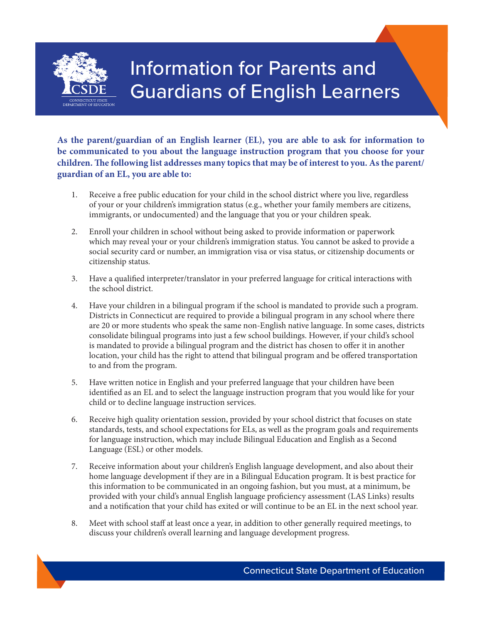

## Information for Parents and Guardians of English Learners

**As the parent/guardian of an English learner (EL), you are able to ask for information to be communicated to you about the language instruction program that you choose for your children. The following list addresses many topics that may be of interest to you. As the parent/ guardian of an EL, you are able to:** 

- 1. Receive a free public education for your child in the school district where you live, regardless of your or your children's immigration status (e.g., whether your family members are citizens, immigrants, or undocumented) and the language that you or your children speak.
- 2. Enroll your children in school without being asked to provide information or paperwork which may reveal your or your children's immigration status. You cannot be asked to provide a social security card or number, an immigration visa or visa status, or citizenship documents or citizenship status.
- 3. Have a qualified interpreter/translator in your preferred language for critical interactions with the school district.
- 4. Have your children in a bilingual program if the school is mandated to provide such a program. Districts in Connecticut are required to provide a bilingual program in any school where there are 20 or more students who speak the same non-English native language. In some cases, districts consolidate bilingual programs into just a few school buildings. However, if your child's school is mandated to provide a bilingual program and the district has chosen to offer it in another location, your child has the right to attend that bilingual program and be offered transportation to and from the program.
- 5. Have written notice in English and your preferred language that your children have been identified as an EL and to select the language instruction program that you would like for your child or to decline language instruction services.
- 6. Receive high quality orientation session, provided by your school district that focuses on state standards, tests, and school expectations for ELs, as well as the program goals and requirements for language instruction, which may include Bilingual Education and English as a Second Language (ESL) or other models.
- 7. Receive information about your children's English language development, and also about their home language development if they are in a Bilingual Education program. It is best practice for this information to be communicated in an ongoing fashion, but you must, at a minimum, be provided with your child's annual English language proficiency assessment (LAS Links) results and a notification that your child has exited or will continue to be an EL in the next school year.
- 8. Meet with school staff at least once a year, in addition to other generally required meetings, to discuss your children's overall learning and language development progress.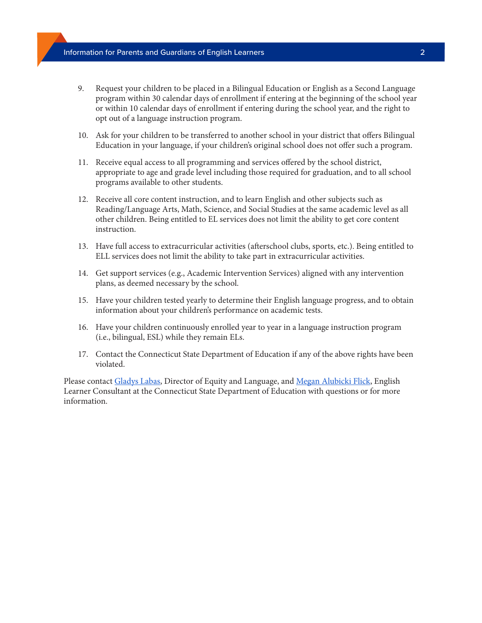- 9. Request your children to be placed in a Bilingual Education or English as a Second Language program within 30 calendar days of enrollment if entering at the beginning of the school year or within 10 calendar days of enrollment if entering during the school year, and the right to opt out of a language instruction program.
- 10. Ask for your children to be transferred to another school in your district that offers Bilingual Education in your language, if your children's original school does not offer such a program.
- 11. Receive equal access to all programming and services offered by the school district, appropriate to age and grade level including those required for graduation, and to all school programs available to other students.
- 12. Receive all core content instruction, and to learn English and other subjects such as Reading/Language Arts, Math, Science, and Social Studies at the same academic level as all other children. Being entitled to EL services does not limit the ability to get core content instruction.
- 13. Have full access to extracurricular activities (afterschool clubs, sports, etc.). Being entitled to ELL services does not limit the ability to take part in extracurricular activities.
- 14. Get support services (e.g., Academic Intervention Services) aligned with any intervention plans, as deemed necessary by the school.
- 15. Have your children tested yearly to determine their English language progress, and to obtain information about your children's performance on academic tests.
- 16. Have your children continuously enrolled year to year in a language instruction program (i.e., bilingual, ESL) while they remain ELs.
- 17. Contact the Connecticut State Department of Education if any of the above rights have been violated.

Please contact [Gladys Labas,](mailto:gladys.labas@ct.gov) Director of Equity and Language, and [Megan Alubicki Flick](mailto:megan.alubicki@ct.gov), English Learner Consultant at the Connecticut State Department of Education with questions or for more information.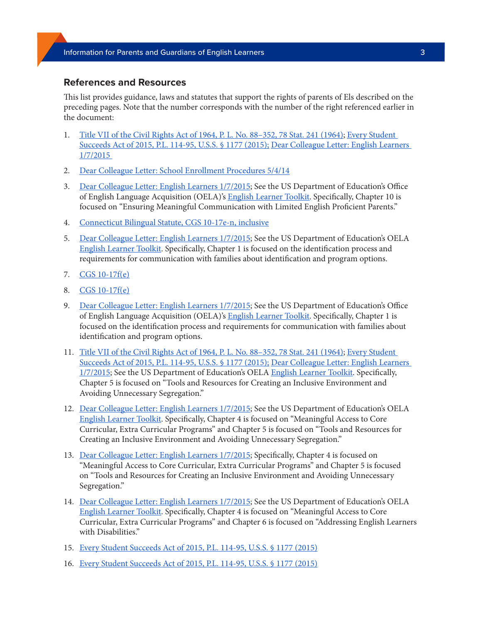## **References and Resources**

This list provides guidance, laws and statutes that support the rights of parents of Els described on the preceding pages. Note that the number corresponds with the number of the right referenced earlier in the document:

- 1. [Title VII of the Civil Rights Act of 1964, P. L. No. 88–352, 78 Stat. 241 \(1964\)](https://www.eeoc.gov/statutes/title-vii-civil-rights-act-1964); [Every Student](https://www.congress.gov/114/plaws/publ95/PLAW-114publ95.pdf)  [Succeeds Act of 2015, P.L. 114-95, U.S.S. § 1177 \(2015\);](https://www.congress.gov/114/plaws/publ95/PLAW-114publ95.pdf) [Dear Colleague Letter: English Learners](https://www2.ed.gov/about/offices/list/ocr/letters/colleague-el-201501.pdf)  [1/7/2015](https://www2.ed.gov/about/offices/list/ocr/letters/colleague-el-201501.pdf)
- 2. [Dear Colleague Letter: School Enrollment Procedures 5/4/14](https://files.eric.ed.gov/fulltext/ED595953.pdf)
- 3. [Dear Colleague Letter: English Learners 1/7/2015](https://www2.ed.gov/about/offices/list/ocr/letters/colleague-el-201501.pdf); See the US Department of Education's Office of English Language Acquisition (OELA)'s **English Learner Toolkit**. Specifically, Chapter 10 is focused on "Ensuring Meaningful Communication with Limited English Proficient Parents."
- 4. [Connecticut Bilingual Statute, CGS 10-17e-n, inclusive](https://www.cga.ct.gov/current/pub/chap_164.htm#sec_10-17e)
- 5. [Dear Colleague Letter: English Learners 1/7/2015](https://www2.ed.gov/about/offices/list/ocr/letters/colleague-el-201501.pdf); See the US Department of Education's OELA [English Learner Toolkit.](https://www2.ed.gov/about/offices/list/oela/english-learner-toolkit/index.html) Specifically, Chapter 1 is focused on the identification process and requirements for communication with families about identification and program options.
- 7. [CGS 10-17f\(e\)](https://www.cga.ct.gov/current/pub/chap_164.htm#sec_10-17f)
- 8. [CGS 10-17f\(e\)](https://www.cga.ct.gov/current/pub/chap_164.htm#sec_10-17f)
- 9. [Dear Colleague Letter: English Learners 1/7/2015](https://www2.ed.gov/about/offices/list/ocr/letters/colleague-el-201501.pdf); See the US Department of Education's Office of English Language Acquisition (OELA)'s [English Learner Toolkit](https://www2.ed.gov/about/offices/list/oela/english-learner-toolkit/index.html). Specifically, Chapter 1 is focused on the identification process and requirements for communication with families about identification and program options.
- 11. Title VII of the Civil Rights Act of 1964, P. L. No. 88-352, 78 Stat. 241 (1964); Every Student [Succeeds Act of 2015, P.L. 114-95, U.S.S. § 1177 \(2015\);](https://www.congress.gov/114/plaws/publ95/PLAW-114publ95.pdf) [Dear Colleague Letter: English Learners](https://www2.ed.gov/about/offices/list/ocr/letters/colleague-el-201501.pdf)  [1/7/2015;](https://www2.ed.gov/about/offices/list/ocr/letters/colleague-el-201501.pdf) See the US Department of Education's OELA [English Learner Toolkit](https://www2.ed.gov/about/offices/list/oela/english-learner-toolkit/index.html). Specifically, Chapter 5 is focused on "Tools and Resources for Creating an Inclusive Environment and Avoiding Unnecessary Segregation."
- 12. [Dear Colleague Letter: English Learners 1/7/2015](https://www2.ed.gov/about/offices/list/ocr/letters/colleague-el-201501.pdf); See the US Department of Education's OELA [English Learner Toolkit.](https://www2.ed.gov/about/offices/list/oela/english-learner-toolkit/index.html) Specifically, Chapter 4 is focused on "Meaningful Access to Core Curricular, Extra Curricular Programs" and Chapter 5 is focused on "Tools and Resources for Creating an Inclusive Environment and Avoiding Unnecessary Segregation."
- 13. [Dear Colleague Letter: English Learners 1/7/2015](https://www2.ed.gov/about/offices/list/ocr/letters/colleague-el-201501.pdf); Specifically, Chapter 4 is focused on "Meaningful Access to Core Curricular, Extra Curricular Programs" and Chapter 5 is focused on "Tools and Resources for Creating an Inclusive Environment and Avoiding Unnecessary Segregation."
- 14. [Dear Colleague Letter: English Learners 1/7/2015](https://www2.ed.gov/about/offices/list/ocr/letters/colleague-el-201501.pdf); See the US Department of Education's OELA [English Learner Toolkit.](https://www2.ed.gov/about/offices/list/oela/english-learner-toolkit/index.html) Specifically, Chapter 4 is focused on "Meaningful Access to Core Curricular, Extra Curricular Programs" and Chapter 6 is focused on "Addressing English Learners with Disabilities."
- 15. [Every Student Succeeds Act of 2015, P.L. 114-95, U.S.S. § 1177 \(2015\)](https://www.congress.gov/114/plaws/publ95/PLAW-114publ95.pdf)
- 16. [Every Student Succeeds Act of 2015, P.L. 114-95, U.S.S. § 1177 \(2015\)](https://www.congress.gov/114/plaws/publ95/PLAW-114publ95.pdf)